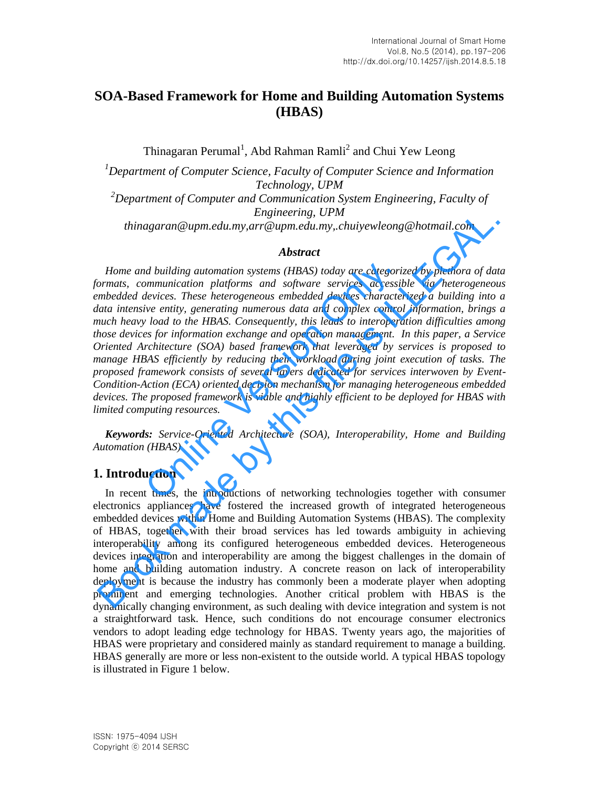# **SOA-Based Framework for Home and Building Automation Systems (HBAS)**

Thinagaran Perumal<sup>1</sup>, Abd Rahman Ramli<sup>2</sup> and Chui Yew Leong

*<sup>1</sup>Department of Computer Science, Faculty of Computer Science and Information Technology, UPM <sup>2</sup>Department of Computer and Communication System Engineering, Faculty of Engineering, UPM thinagaran@upm.edu.my,arr@upm.edu.my,.chuiyewleong@hotmail.com* 

### *Abstract*

*Home and building automation systems (HBAS) today are categorized by plethora of data formats, communication platforms and software services accessible via heterogeneous embedded devices. These heterogeneous embedded devices characterized a building into a data intensive entity, generating numerous data and complex control information, brings a much heavy load to the HBAS. Consequently, this leads to interoperation difficulties among those devices for information exchange and operation management. In this paper, a Service Oriented Architecture (SOA) based framework that leveraged by services is proposed to manage HBAS efficiently by reducing their workload during joint execution of tasks. The proposed framework consists of several layers dedicated for services interwoven by Event-Condition-Action (ECA) oriented decision mechanism for managing heterogeneous embedded devices. The proposed framework is viable and highly efficient to be deployed for HBAS with limited computing resources.*  d building automation systems (HBAS) today are categori<br>immunication platforms and software services accessile<br>vices. These heterogeneous embedded devices characte<br>ive entity, generating numerous data and complex controver Engineering, UPM<br>
Engineering, UPM<br>
Engineering, UPM<br>
Home and building automation systems (HBAS) today are categorized by plethora of data<br>
Home and building automation systems (HBAS) today are categorized by plethora of

*Keywords: Service-Oriented Architecture (SOA), Interoperability, Home and Building Automation (HBAS)* 

### **1. Introduction**

In recent times, the introductions of networking technologies together with consumer electronics appliances have fostered the increased growth of integrated heterogeneous embedded devices within Home and Building Automation Systems (HBAS). The complexity of HBAS, together with their broad services has led towards ambiguity in achieving interoperability among its configured heterogeneous embedded devices. Heterogeneous devices integration and interoperability are among the biggest challenges in the domain of home and building automation industry. A concrete reason on lack of interoperability deployment is because the industry has commonly been a moderate player when adopting prominent and emerging technologies. Another critical problem with HBAS is the dynamically changing environment, as such dealing with device integration and system is not a straightforward task. Hence, such conditions do not encourage consumer electronics vendors to adopt leading edge technology for HBAS. Twenty years ago, the majorities of HBAS were proprietary and considered mainly as standard requirement to manage a building. HBAS generally are more or less non-existent to the outside world. A typical HBAS topology is illustrated in Figure 1 below.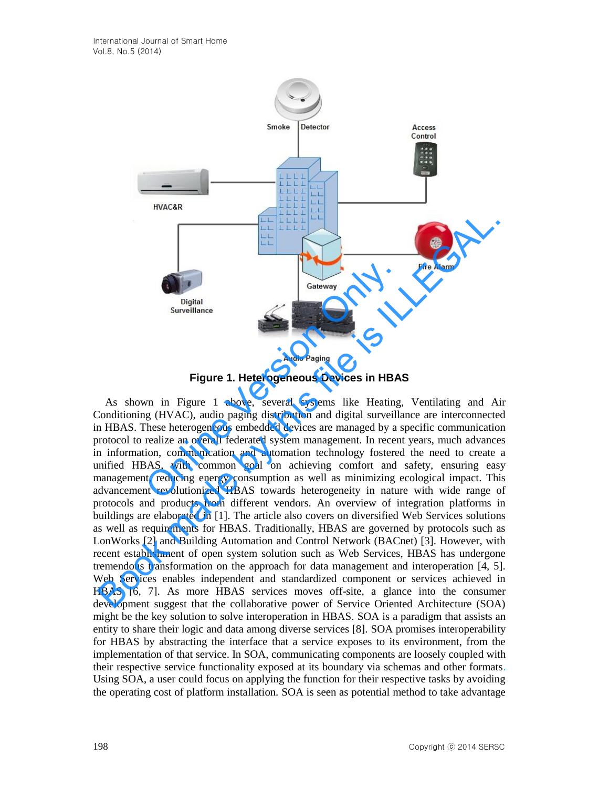

**Figure 1. Heterogeneous Devices in HBAS** 

As shown in Figure 1 above, several systems like Heating, Ventilating and Air Conditioning (HVAC), audio paging distribution and digital surveillance are interconnected in HBAS. These heterogeneous embedded devices are managed by a specific communication protocol to realize an overall federated system management. In recent years, much advances in information, communication and automation technology fostered the need to create a unified HBAS, with common goal on achieving comfort and safety, ensuring easy management, reducing energy consumption as well as minimizing ecological impact. This advancement revolutionized HBAS towards heterogeneity in nature with wide range of protocols and products from different vendors. An overview of integration platforms in buildings are elaborated in [1]. The article also covers on diversified Web Services solutions as well as requirements for HBAS. Traditionally, HBAS are governed by protocols such as LonWorks [2] and Building Automation and Control Network (BACnet) [3]. However, with recent establishment of open system solution such as Web Services, HBAS has undergone tremendous transformation on the approach for data management and interoperation [4, 5]. Web Services enables independent and standardized component or services achieved in HBAS [6, 7]. As more HBAS services moves off-site, a glance into the consumer development suggest that the collaborative power of Service Oriented Architecture (SOA) might be the key solution to solve interoperation in HBAS. SOA is a paradigm that assists an entity to share their logic and data among diverse services [8]. SOA promises interoperability for HBAS by abstracting the interface that a service exposes to its environment, from the implementation of that service. In SOA, communicating components are loosely coupled with their respective service functionality exposed at its boundary via schemas and other formats. Using SOA, a user could focus on applying the function for their respective tasks by avoiding the operating cost of platform installation. SOA is seen as potential method to take advantage Gateway<br>
Digital<br>
Surveillance<br>
Figure 1. Heterogeneous Devices in HBA:<br>
Audio Paging<br>
Figure 1. Heterogeneous Devices in HBA:<br>
vn in Figure 1 above, several systems like Heating,<br>
g (HVAC), audio paging distribution and d Fire Alarm<br>
Surveillance<br>
Surveillance<br>
Surveillance<br>
Surveillance<br>
Surveillance<br>
Figure 1. Heterogeneous Devices in HBAS<br>
As shown in Figure 1. Heterogeneous Devices in HBAS<br>
As shown in Figure 1. Heterogeneous Devices in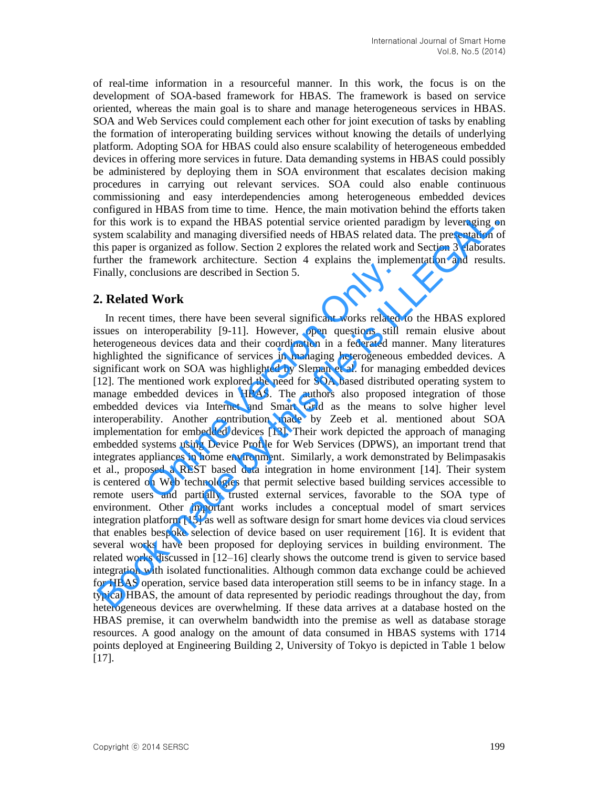of real-time information in a resourceful manner. In this work, the focus is on the development of SOA-based framework for HBAS. The framework is based on service oriented, whereas the main goal is to share and manage heterogeneous services in HBAS. SOA and Web Services could complement each other for joint execution of tasks by enabling the formation of interoperating building services without knowing the details of underlying platform. Adopting SOA for HBAS could also ensure scalability of heterogeneous embedded devices in offering more services in future. Data demanding systems in HBAS could possibly be administered by deploying them in SOA environment that escalates decision making procedures in carrying out relevant services. SOA could also enable continuous commissioning and easy interdependencies among heterogeneous embedded devices configured in HBAS from time to time. Hence, the main motivation behind the efforts taken for this work is to expand the HBAS potential service oriented paradigm by leveraging on system scalability and managing diversified needs of HBAS related data. The presentation of this paper is organized as follow. Section 2 explores the related work and Section 3 elaborates further the framework architecture. Section 4 explains the implementation and results. Finally, conclusions are described in Section 5.

### **2. Related Work**

In recent times, there have been several significant works related to the HBAS explored issues on interoperability [9-11]. However, open questions still remain elusive about heterogeneous devices data and their coordination in a federated manner. Many literatures highlighted the significance of services in managing heterogeneous embedded devices. A significant work on SOA was highlighted by Sleman et al. for managing embedded devices [12]. The mentioned work explored the need for SOA based distributed operating system to manage embedded devices in HBAS. The authors also proposed integration of those embedded devices via Internet and Smart Grid as the means to solve higher level interoperability. Another contribution made by Zeeb et al. mentioned about SOA implementation for embedded devices [13]. Their work depicted the approach of managing embedded systems using Device Profile for Web Services (DPWS), an important trend that integrates appliances in home environment. Similarly, a work demonstrated by Belimpasakis et al., proposed a REST based data integration in home environment [14]. Their system is centered on Web technologies that permit selective based building services accessible to remote users and partially trusted external services, favorable to the SOA type of environment. Other important works includes a conceptual model of smart services integration platform [15] as well as software design for smart home devices via cloud services that enables bespoke selection of device based on user requirement [16]. It is evident that several works have been proposed for deploying services in building environment. The related works discussed in [12–16] clearly shows the outcome trend is given to service based integration with isolated functionalities. Although common data exchange could be achieved for HBAS operation, service based data interoperation still seems to be in infancy stage. In a typical HBAS, the amount of data represented by periodic readings throughout the day, from heterogeneous devices are overwhelming. If these data arrives at a database hosted on the HBAS premise, it can overwhelm bandwidth into the premise as well as database storage resources. A good analogy on the amount of data consumed in HBAS systems with 1714 points deployed at Engineering Building 2, University of Tokyo is depicted in Table 1 below  $[17]$ . Trainie work deminedate. Section 1 supplements the implied<br>clusions are described in Section 5.<br> **i** Work<br>
times, there have been several significant works related<br>
interoperability [9-11]. However, open questions still<br>
u or<br>not this work is to expand the HBAS potential service oriented paradigm by leveraging o<br>or this work is to expand the HBAS potential service oriented paradigm by leveraging o<br>ystems catability and managing diversified n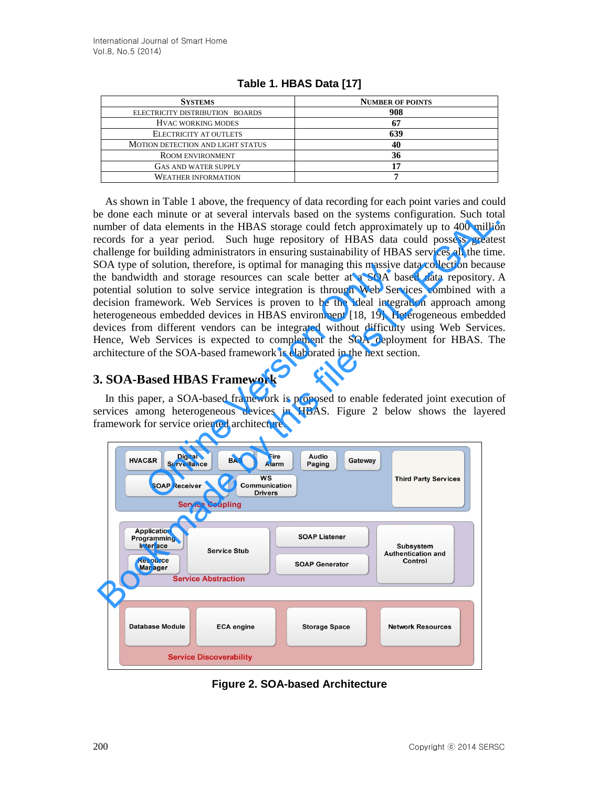| <b>SYSTEMS</b>                    | <b>NUMBER OF POINTS</b> |
|-----------------------------------|-------------------------|
| ELECTRICITY DISTRIBUTION BOARDS   | 908                     |
| <b>HVAC WORKING MODES</b>         |                         |
| ELECTRICITY AT OUTLETS            | 639                     |
| MOTION DETECTION AND LIGHT STATUS | 40                      |
| ROOM ENVIRONMENT                  | 36                      |
| <b>GAS AND WATER SUPPLY</b>       |                         |
| <b>WEATHER INFORMATION</b>        |                         |

**Table 1. HBAS Data [17]**

As shown in Table 1 above, the frequency of data recording for each point varies and could be done each minute or at several intervals based on the systems configuration. Such total number of data elements in the HBAS storage could fetch approximately up to 400 million records for a year period. Such huge repository of HBAS data could possess greatest challenge for building administrators in ensuring sustainability of HBAS services all the time. SOA type of solution, therefore, is optimal for managing this massive data collection because the bandwidth and storage resources can scale better at a SOA based data repository. A potential solution to solve service integration is through Web Services combined with a decision framework. Web Services is proven to be the ideal integration approach among heterogeneous embedded devices in HBAS environment [18, 19]. Heterogeneous embedded devices from different vendors can be integrated without difficulty using Web Services. Hence, Web Services is expected to complement the SOA deployment for HBAS. The architecture of the SOA-based framework is elaborated in the next section. If solution, therefore, is optimal for managing this massive<br>dth and storage resources can scale better at a SOA ba<br>blution to solve service integration is through Web Services<br>imework. Web Services is proven to be the ide

## **3. SOA-Based HBAS Framework**

In this paper, a SOA-based framework is proposed to enable federated joint execution of services among heterogeneous devices in HBAS. Figure 2 below shows the layered framework for service oriented architecture.



**Figure 2. SOA-based Architecture**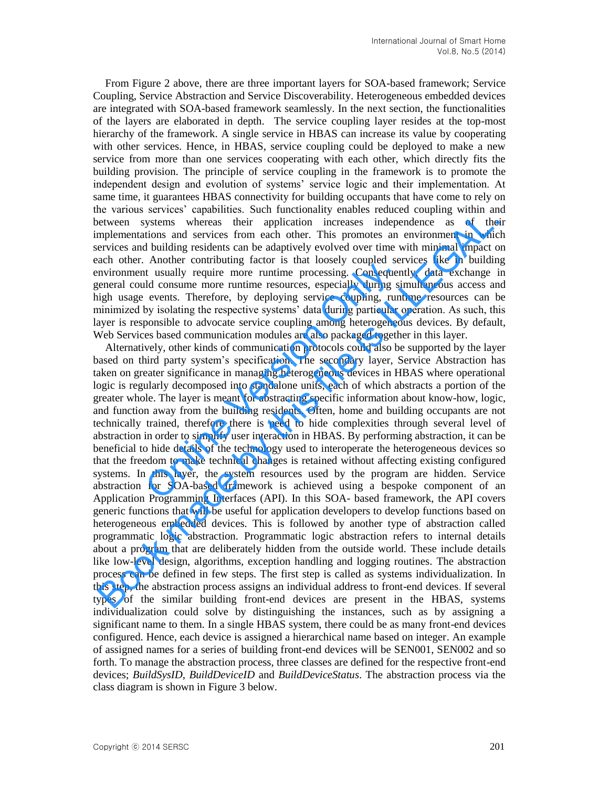From Figure 2 above, there are three important layers for SOA-based framework; Service Coupling, Service Abstraction and Service Discoverability. Heterogeneous embedded devices are integrated with SOA-based framework seamlessly. In the next section, the functionalities of the layers are elaborated in depth. The service coupling layer resides at the top-most hierarchy of the framework. A single service in HBAS can increase its value by cooperating with other services. Hence, in HBAS, service coupling could be deployed to make a new service from more than one services cooperating with each other, which directly fits the building provision. The principle of service coupling in the framework is to promote the independent design and evolution of systems' service logic and their implementation. At same time, it guarantees HBAS connectivity for building occupants that have come to rely on the various services' capabilities. Such functionality enables reduced coupling within and between systems whereas their application increases independence as of their implementations and services from each other. This promotes an environment in which services and building residents can be adaptively evolved over time with minimal impact on each other. Another contributing factor is that loosely coupled services like in building environment usually require more runtime processing. Consequently, data exchange in general could consume more runtime resources, especially during simultaneous access and high usage events. Therefore, by deploying service coupling, runtime resources can be minimized by isolating the respective systems' data during particular operation. As such, this layer is responsible to advocate service coupling among heterogeneous devices. By default, Web Services based communication modules are also packaged together in this layer.

Alternatively, other kinds of communication protocols could also be supported by the layer based on third party system's specification. The secondary layer, Service Abstraction has taken on greater significance in managing heterogeneous devices in HBAS where operational logic is regularly decomposed into standalone units, each of which abstracts a portion of the greater whole. The layer is meant for abstracting specific information about know-how, logic, and function away from the building residents. Often, home and building occupants are not technically trained, therefore there is need to hide complexities through several level of abstraction in order to simplify user interaction in HBAS. By performing abstraction, it can be beneficial to hide details of the technology used to interoperate the heterogeneous devices so that the freedom to make technical changes is retained without affecting existing configured systems. In this layer, the system resources used by the program are hidden. Service abstraction for SOA-based framework is achieved using a bespoke component of an Application Programming Interfaces (API). In this SOA- based framework, the API covers generic functions that will be useful for application developers to develop functions based on heterogeneous embedded devices. This is followed by another type of abstraction called programmatic logic abstraction. Programmatic logic abstraction refers to internal details about a program that are deliberately hidden from the outside world. These include details like low-level design, algorithms, exception handling and logging routines. The abstraction process can be defined in few steps. The first step is called as systems individualization. In this step, the abstraction process assigns an individual address to front-end devices. If several types of the similar building front-end devices are present in the HBAS, systems individualization could solve by distinguishing the instances, such as by assigning a significant name to them. In a single HBAS system, there could be as many front-end devices configured. Hence, each device is assigned a hierarchical name based on integer. An example of assigned names for a series of building front-end devices will be SEN001, SEN002 and so forth. To manage the abstraction process, three classes are defined for the respective front-end devices; *BuildSysID, BuildDeviceID* and *BuildDeviceStatus*. The abstraction process via the class diagram is shown in Figure 3 below. The state of the state and the program of the state of the state of the state of the state of the state of the state of the state of the state of the state of the state of the state of the state of the state of the state o be a travel so errors a capacitones: because the philoson is anotos is calced volying want and term<br>(persons systems whereas their application increases independence as of the<br>inplementations and services from each other.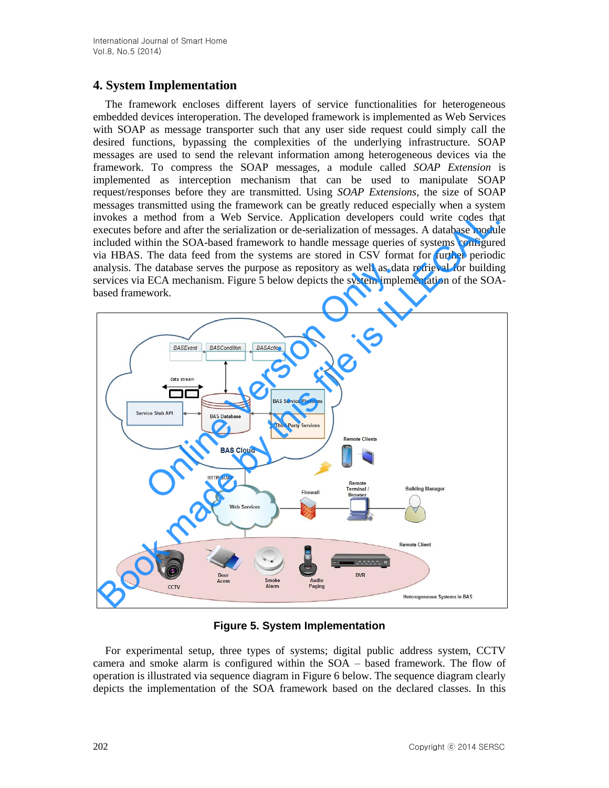# **4. System Implementation**

The framework encloses different layers of service functionalities for heterogeneous embedded devices interoperation. The developed framework is implemented as Web Services with SOAP as message transporter such that any user side request could simply call the desired functions, bypassing the complexities of the underlying infrastructure. SOAP messages are used to send the relevant information among heterogeneous devices via the framework. To compress the SOAP messages, a module called *SOAP Extension* is implemented as interception mechanism that can be used to manipulate SOAP request/responses before they are transmitted. Using *SOAP Extensions*, the size of SOAP messages transmitted using the framework can be greatly reduced especially when a system invokes a method from a Web Service. Application developers could write codes that executes before and after the serialization or de-serialization of messages. A database module included within the SOA-based framework to handle message queries of systems configured via HBAS. The data feed from the systems are stored in CSV format for further periodic analysis. The database serves the purpose as repository as well as data retrieval for building services via ECA mechanism. Figure 5 below depicts the system implementation of the SOAbased framework.



**Figure 5. System Implementation** 

For experimental setup, three types of systems; digital public address system, CCTV camera and smoke alarm is configured within the SOA – based framework. The flow of operation is illustrated via sequence diagram in Figure 6 below. The sequence diagram clearly depicts the implementation of the SOA framework based on the declared classes. In this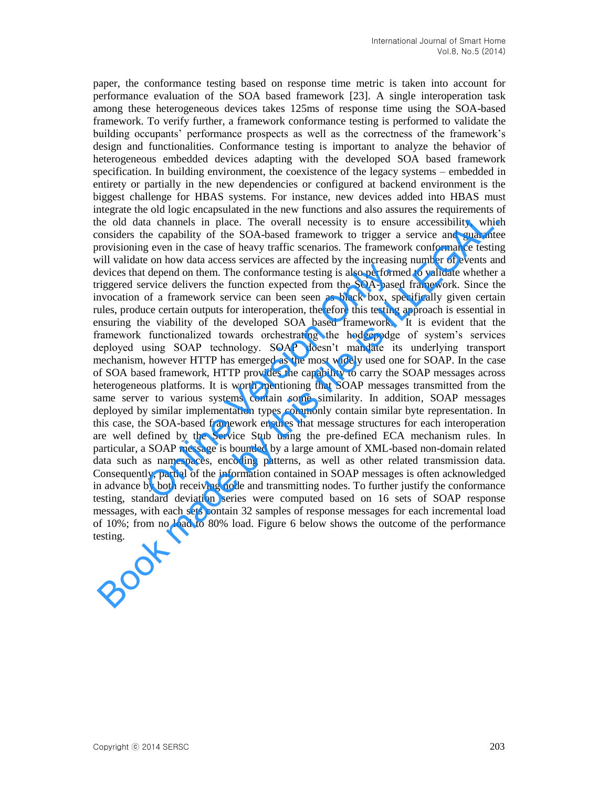paper, the conformance testing based on response time metric is taken into account for performance evaluation of the SOA based framework [23]. A single interoperation task among these heterogeneous devices takes 125ms of response time using the SOA-based framework. To verify further, a framework conformance testing is performed to validate the building occupants' performance prospects as well as the correctness of the framework's design and functionalities. Conformance testing is important to analyze the behavior of heterogeneous embedded devices adapting with the developed SOA based framework specification. In building environment, the coexistence of the legacy systems – embedded in entirety or partially in the new dependencies or configured at backend environment is the biggest challenge for HBAS systems. For instance, new devices added into HBAS must integrate the old logic encapsulated in the new functions and also assures the requirements of the old data channels in place. The overall necessity is to ensure accessibility, which considers the capability of the SOA-based framework to trigger a service and guarantee provisioning even in the case of heavy traffic scenarios. The framework conformance testing will validate on how data access services are affected by the increasing number of events and devices that depend on them. The conformance testing is also performed to validate whether a triggered service delivers the function expected from the SOA-based framework. Since the invocation of a framework service can been seen as black box, specifically given certain rules, produce certain outputs for interoperation, therefore this testing approach is essential in ensuring the viability of the developed SOA based framework. It is evident that the framework functionalized towards orchestrating the hodgepodge of system's services deployed using SOAP technology. SOAP doesn't mandate its underlying transport mechanism, however HTTP has emerged as the most widely used one for SOAP. In the case of SOA based framework, HTTP provides the capability to carry the SOAP messages across heterogeneous platforms. It is worth mentioning that SOAP messages transmitted from the same server to various systems contain some similarity. In addition, SOAP messages deployed by similar implementation types commonly contain similar byte representation. In this case, the SOA-based framework ensures that message structures for each interoperation are well defined by the Service Stub using the pre-defined ECA mechanism rules. In particular, a SOAP message is bounded by a large amount of XML-based non-domain related data such as namespaces, encoding patterns, as well as other related transmission data. Consequently, partial of the information contained in SOAP messages is often acknowledged in advance by both receiving node and transmitting nodes. To further justify the conformance testing, standard deviation series were computed based on 16 sets of SOAP response messages, with each sets contain 32 samples of response messages for each incremental load of 10%; from no load to 80% load. Figure 6 below shows the outcome of the performance testing. or the mean case of the service and transmisting nodes. To further the depend on them. The conformance testing is also performervice delivers the function expected from the SOA-based of a framework service can been seen as megna to over ough changes are experientation to the window and as a season of the controlled data channels in place. The overall necessity is to ensure accessibility, which the controlled of the SOA-based framework to tri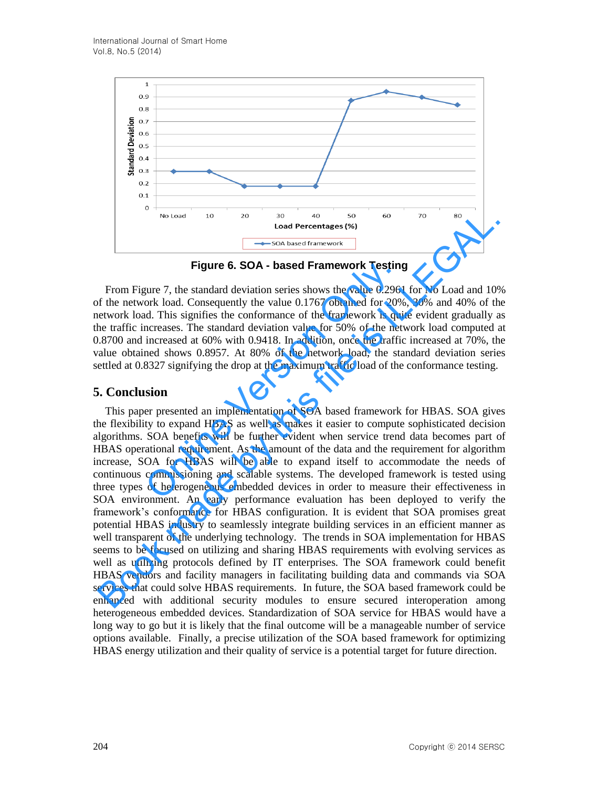

**Figure 6. SOA - based Framework Testing** 

From Figure 7, the standard deviation series shows the value 0.2961 for No Load and 10% of the network load. Consequently the value 0.1767 obtained for 20%, 30% and 40% of the network load. This signifies the conformance of the framework is quite evident gradually as the traffic increases. The standard deviation value for 50% of the network load computed at 0.8700 and increased at 60% with 0.9418. In addition, once the traffic increased at 70%, the value obtained shows 0.8957. At 80% of the network load, the standard deviation series settled at 0.8327 signifying the drop at the maximum traffic load of the conformance testing.

#### **5. Conclusion**

This paper presented an implementation of SOA based framework for HBAS. SOA gives the flexibility to expand HBAS as well as makes it easier to compute sophisticated decision algorithms. SOA benefits will be further evident when service trend data becomes part of HBAS operational requirement. As the amount of the data and the requirement for algorithm increase, SOA for HBAS will be able to expand itself to accommodate the needs of continuous commissioning and scalable systems. The developed framework is tested using three types of heterogeneous embedded devices in order to measure their effectiveness in SOA environment. An early performance evaluation has been deployed to verify the framework's conformance for HBAS configuration. It is evident that SOA promises great potential HBAS industry to seamlessly integrate building services in an efficient manner as well transparent of the underlying technology. The trends in SOA implementation for HBAS seems to be focused on utilizing and sharing HBAS requirements with evolving services as well as utilizing protocols defined by IT enterprises. The SOA framework could benefit HBAS vendors and facility managers in facilitating building data and commands via SOA services that could solve HBAS requirements. In future, the SOA based framework could be enhanced with additional security modules to ensure secured interoperation among heterogeneous embedded devices. Standardization of SOA service for HBAS would have a long way to go but it is likely that the final outcome will be a manageable number of service options available. Finally, a precise utilization of the SOA based framework for optimizing HBAS energy utilization and their quality of service is a potential target for future direction. **Figure 6. SOA - based Framework Testing**<br>sure 7, the standard deviation series shows the value 0.2961<br>ork load. Consequently the value 0.1767 obtained for 20%<br>d. This signifies the conformance of the framework is qui<br>ncr No tood 30<br>
Book Perfemtage (%)<br>
Book Perfemtage (%) 60 6 6 6<br>
Equivale Perfemtage (%)<br>
Figure 6. SOA - based Framework Testing<br>
From Figure 7, the standard deviation series shows the value 0.2961 for No Load and 109<br>
of t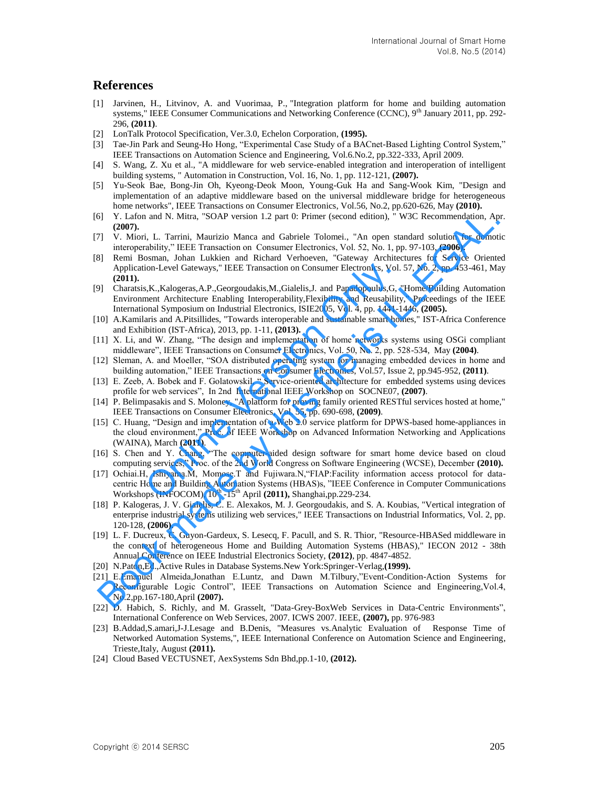#### **References**

- [1] Jarvinen, H., Litvinov, A. and Vuorimaa, P., "Integration platform for home and building automation systems," IEEE Consumer Communications and Networking Conference (CCNC),  $9<sup>th</sup>$  January 2011, pp. 292-296, **(2011)**.
- [2] LonTalk Protocol Specification, Ver.3.0, Echelon Corporation, **(1995).**
- [3] Tae-Jin Park and Seung-Ho Hong, "Experimental Case Study of a BACnet-Based Lighting Control System," IEEE Transactions on Automation Science and Engineering, Vol.6.No.2, pp.322-333, April 2009.
- [4] S. Wang, Z. Xu et al., "A middleware for web service-enabled integration and interoperation of intelligent building systems, " Automation in Construction, Vol. 16, No. 1, pp. 112-121, **(2007).**
- [5] Yu-Seok Bae, Bong-Jin Oh, Kyeong-Deok Moon, Young-Guk Ha and Sang-Wook Kim, "Design and implementation of an adaptive middleware based on the universal middleware bridge for heterogeneous home networks", IEEE Transactions on Consumer Electronics, Vol.56, No.2, pp.620-626, May **(2010).**
- [6] Y. Lafon and N. Mitra, "SOAP version 1.2 part 0: Primer (second edition), " W3C Recommendation, Apr. **(2007).**
- [7] V. Miori, L. Tarrini, Maurizio Manca and Gabriele Tolomei., "An open standard solution for domotic interoperability," IEEE Transaction on Consumer Electronics, Vol. 52, No. 1, pp. 97-103, **(2006).**
- [8] Remi Bosman, Johan Lukkien and Richard Verhoeven, "Gateway Architectures for Service Oriented Application-Level Gateways," IEEE Transaction on Consumer Electronics, Vol. 57, No. 2, pp. 453-461, May **(2011).**
- [9] Charatsis,K.,Kalogeras,A.P.,Georgoudakis,M.,Gialelis,J. and Papadopoulus,G, "Home/Building Automation Environment Architecture Enabling Interoperability,Flexibility and Reusability," Proceedings of the IEEE International Symposium on Industrial Electronics, ISIE2005, Vol. 4, pp. 1441-1446, **(2005).** ion-Level Gateways," IEEE Transaction on Consumer Electronics, Vol.<br>
s, K., Kalogeras, A.P., Georgoudakis, M., Gialelis, J. and Papadopoulus, G, "<br>
ment Architecture Enabling Interoperability, Flexibility and Reusability<br>
- [10] A.Kamilaris and A.Pitsillides, "Towards interoperable and sustainable smart homes," IST-Africa Conference and Exhibition (IST-Africa), 2013, pp. 1-11, **(2013).**
- [11] X. Li, and W. Zhang, "The design and implementation of home networks systems using OSGi compliant middleware", IEEE Transactions on Consumer Electronics, Vol. 50, No. 2, pp. 528-534, May **(2004)**.
- [12] Sleman, A. and Moeller, "SOA distributed operating system for managing embedded devices in home and building automation," IEEE Transactions on Consumer Electronics, Vol.57, Issue 2, pp.945-952, **(2011)**.
- [13] E. Zeeb, A. Bobek and F. Golatowskil, " Service-oriented architecture for embedded systems using devices profile for web services", In 2nd International IEEE Workshop on SOCNE07, **(2007)**.
- [14] P. Belimpasakis and S. Moloney, "A platform for proving family oriented RESTful services hosted at home," IEEE Transactions on Consumer Electronics, Vol. 55, pp. 690-698, **(2009)**.
- [15] C. Huang, "Design and implementation of a Web 2.0 service platform for DPWS-based home-appliances in the cloud environment," Proc. of IEEE Workshop on Advanced Information Networking and Applications (WAINA), March **(2011)**.
- [16] S. Chen and Y. Chang, "The computer-aided design software for smart home device based on cloud computing services," Proc. of the 2nd World Congress on Software Engineering (WCSE), December **(2010).**
- [17] Ochiai.H, Ishiyama.M, Momose.T and Fujiwara.N,"FIAP:Facility information access protocol for datacentric Home and Building Automation Systems (HBAS)s, "IEEE Conference in Computer Communications Workshops (INFOCOM), 10<sup>th</sup> -15<sup>th</sup> April (2011), Shanghai,pp.229-234.
- [18] P. Kalogeras, J. V. Gialelis, C. E. Alexakos, M. J. Georgoudakis, and S. A. Koubias, "Vertical integration of enterprise industrial systems utilizing web services," IEEE Transactions on Industrial Informatics, Vol. 2, pp. 120-128, **(2006).** (5) (1.1 Lafon and N. Mitra, "SOAP version 1.2 part 0: Primer (second edition), "W3C Recommendation, Ap<br>
17 L. Tarinai, Maurizio Manca and Gabriele Tolomei. "An open standard solution for domini<br>
17 L. Tarinai, Maurizio Ma
- [19] L. F. Ducreux, C. Guyon-Gardeux, S. Lesecq, F. Pacull, and S. R. Thior, "Resource-HBASed middleware in the context of heterogeneous Home and Building Automation Systems (HBAS)," IECON 2012 - 38th Annual Conference on IEEE Industrial Electronics Society, **(2012)**, pp. 4847-4852.
- [20] N.Paton,Ed.,Active Rules in Database Systems.New York:Springer-Verlag,**(1999).**
- [21] E.Emanuel Almeida,Jonathan E.Luntz, and Dawn M.Tilbury,"Event-Condition-Action Systems for Reconfigurable Logic Control", IEEE Transactions on Automation Science and Engineering,Vol.4, No.2,pp.167-180,April **(2007).**
- [22] D. Habich, S. Richly, and M. Grasselt, "Data-Grey-BoxWeb Services in Data-Centric Environments", International Conference on Web Services, 2007. ICWS 2007. IEEE, **(2007),** pp. 976-983
- [23] B.Addad,S.amari,J-J.Lesage and B.Denis, "Measures vs.Analytic Evaluation of Response Time of Networked Automation Systems,", IEEE International Conference on Automation Science and Engineering, Trieste,Italy, August **(2011).**
- [24] Cloud Based VECTUSNET, AexSystems Sdn Bhd,pp.1-10, **(2012).**